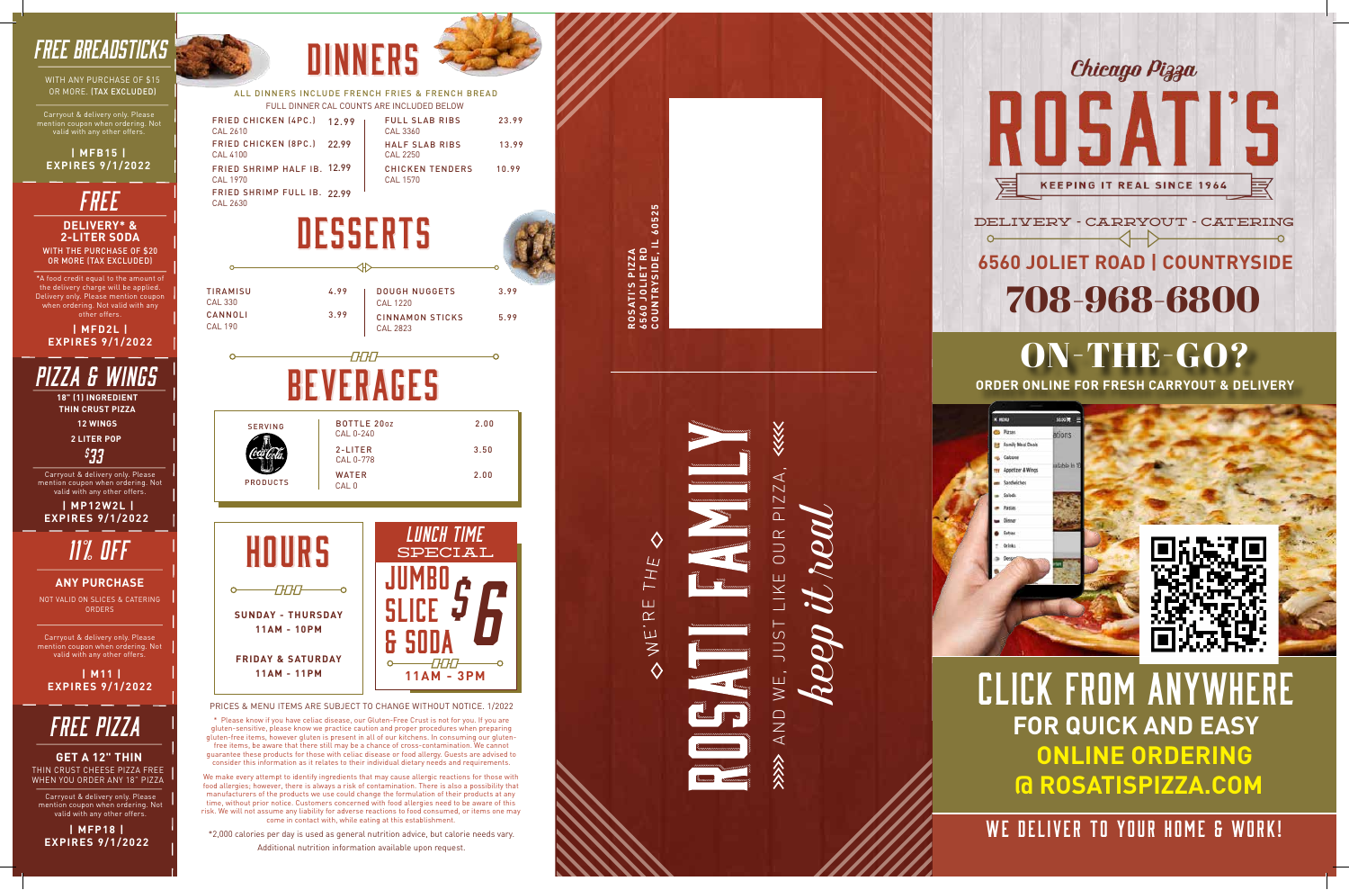



PRICES & MENU ITEMS ARE SUBJECT TO CHANGE WITHOUT NOTICE. 1/2022

\* Please know if you have celiac disease, our Gluten-Free Crust is not for you. If you are gluten-sensitive, please know we practice caution and proper procedures when preparing gluten-free items, however gluten is present in all of our kitchens. In consuming our glutenfree items, be aware that there still may be a chance of cross-contamination. We cannot guarantee these products for those with celiac disease or food allergy. Guests are advised to consider this information as it relates to their individual dietary needs and requirements.



CAL 330

CAL 190

**DINNERS** 



\*2,000 calories per day is used as general nutrition advice, but calorie needs vary. Additional nutrition information available upon request.

ALL DINNERS INCLUDE FRENCH FRIES & FRENCH BREAD FULL DINNER CAL COUNTS ARE INCLUDED BELOW

WITH THE PURCHASE OF \$20 OR MORE (TAX EXCLUDED) **DELIVERY\* & 2-LITER SODA** *free*

#### DELIVERY - CARRYOUT - CATERING  $\left\langle \rightarrow \right\rangle$  $\sim$

**ROSATI'S PIZZA 6560 JOLIET RD** **COUNTRYSIDE, IL 60525**

 $5525$ 





 $\overline{L}$ H. Ш  $\alpha$ I.EN

*free Pizza*

THIN CRUST CHEESE PIZZA FREE WHEN YOU ORDER ANY 18" PIZZ A **GET A 12" THIN**

Carryout & delivery only. Please mention coupon when ordering. Not valid with any other offers.

**| MFP18 | EXPIRES 9/1/2022**



 **| M11 | EXPIRES 9/1/2022**

| FRIED CHICKEN (4PC.) 12.99<br>CAL 2610  | <b>FULL SLAB RIBS</b><br>CAL 3360  | 23.99 |
|-----------------------------------------|------------------------------------|-------|
| FRIED CHICKEN (8PC.) 22.99<br>CAL 4100  | <b>HALF SLAB RIBS</b><br>CAL 2250  | 13.99 |
| FRIED SHRIMP HALF IB. 12.99<br>CAL 1970 | <b>CHICKEN TENDERS</b><br>CAL 1570 | 10.99 |
| FRIED SHRIMP FULL IB. 22 99<br>CAL 2630 |                                    |       |

Carryout & delivery only. Please mention coupon when ordering. Not valid with any other offers.

*11% OFF*

NOT VALID ON SLICES & CATERING ORDERS

**ANY PURCHASE**



\*A food credit equal to the amount of the delivery charge will be applied. Delivery only. Please mention coupon when ordering. Not valid with any other offers .

**| MFD2L | EXPIRES 9/1/2022**

# **6560 JOLIET ROAD | COUNTRYSIDE** 708-968-6800

### ON-THE-GO? **ORDER ONLINE FOR FRESH CARRYOUT & DELIVERY**



# CLICK FROM ANYWHERE **FOR QUICK AND EASY ONLINE ORDERING @ ROSATISPIZZA.COM**

### WE DELIVER TO YOUR HOME & WORK!

## *FREE BREADSTICKS*

WITH ANY PURCHASE OF \$15 OR MORE. (TAX EXCLUDED)

mention coupon when ordering. Not valid with any other offers.

#### **| MFB15 | EXPIRES 9/1/2022**

*PIZZA & WINGS*

**18" (1) INGREDIENT THIN CRUST PIZZA**

**2 LITER POP**

*\$ 33*

**12 WINGS**

Carryout & delivery only. Please mention coupon when ordering. Not valid with any other offers.

 **| MP12W2L | EXPIRES 9/1/2022**

> We make every attempt to identify ingredients that may cause allergic reactions for those with food allergies; however, there is always a risk of contamination. There is also a possibility that manufacturers of the products we use could change the formulation of their products at any manufacturers of the products we use could change the formulation of their products at any time, without prior notice. Customers concerned with food allergies need to be aware of this risk. We will not assume any liability for adverse reactions to food consumed, or items one may come in contact with, while eating at this establishment.